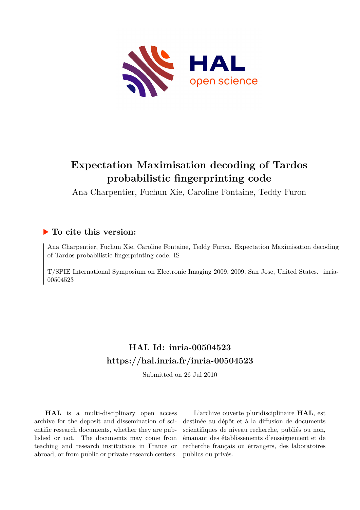

# **Expectation Maximisation decoding of Tardos probabilistic fingerprinting code**

Ana Charpentier, Fuchun Xie, Caroline Fontaine, Teddy Furon

# **To cite this version:**

Ana Charpentier, Fuchun Xie, Caroline Fontaine, Teddy Furon. Expectation Maximisation decoding of Tardos probabilistic fingerprinting code. IS

T/SPIE International Symposium on Electronic Imaging 2009, 2009, San Jose, United States. inria-00504523

# **HAL Id: inria-00504523 <https://hal.inria.fr/inria-00504523>**

Submitted on 26 Jul 2010

**HAL** is a multi-disciplinary open access archive for the deposit and dissemination of scientific research documents, whether they are published or not. The documents may come from teaching and research institutions in France or abroad, or from public or private research centers.

L'archive ouverte pluridisciplinaire **HAL**, est destinée au dépôt et à la diffusion de documents scientifiques de niveau recherche, publiés ou non, émanant des établissements d'enseignement et de recherche français ou étrangers, des laboratoires publics ou privés.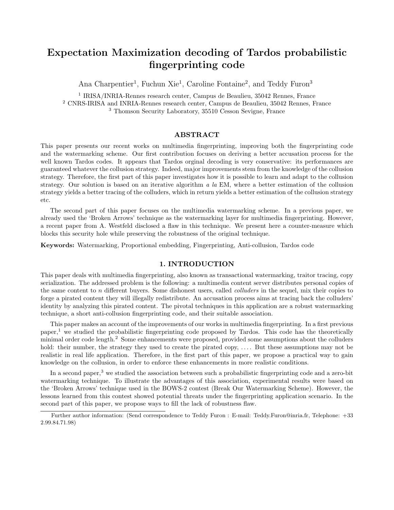# Expectation Maximization decoding of Tardos probabilistic fingerprinting code

Ana Charpentier<sup>1</sup>, Fuchun Xie<sup>1</sup>, Caroline Fontaine<sup>2</sup>, and Teddy Furon<sup>3</sup>

1 IRISA/INRIA-Rennes research center, Campus de Beaulieu, 35042 Rennes, France <sup>2</sup> CNRS-IRISA and INRIA-Rennes research center, Campus de Beaulieu, 35042 Rennes, France <sup>3</sup> Thomson Security Laboratory, 35510 Cesson Sevigne, France

### ABSTRACT

This paper presents our recent works on multimedia fingerprinting, improving both the fingerprinting code and the watermarking scheme. Our first contribution focuses on deriving a better accusation process for the well known Tardos codes. It appears that Tardos orginal decoding is very conservative: its performances are guaranteed whatever the collusion strategy. Indeed, major improvements stem from the knowledge of the collusion strategy. Therefore, the first part of this paper investigates how it is possible to learn and adapt to the collusion strategy. Our solution is based on an iterative algorithm a la EM, where a better estimation of the collusion strategy yields a better tracing of the colluders, which in return yields a better estimation of the collusion strategy etc.

The second part of this paper focuses on the multimedia watermarking scheme. In a previous paper, we already used the 'Broken Arrows' technique as the watermarking layer for multimedia fingerprinting. However, a recent paper from A. Westfeld disclosed a flaw in this technique. We present here a counter-measure which blocks this security hole while preserving the robustness of the original technique.

Keywords: Watermarking, Proportional embedding, Fingerprinting, Anti-collusion, Tardos code

#### 1. INTRODUCTION

This paper deals with multimedia fingerprinting, also known as transactional watermarking, traitor tracing, copy serialization. The addressed problem is the following: a multimedia content server distributes personal copies of the same content to n different buyers. Some dishonest users, called *colluders* in the sequel, mix their copies to forge a pirated content they will illegally redistribute. An accusation process aims at tracing back the colluders' identity by analyzing this pirated content. The pivotal techniques in this application are a robust watermarking technique, a short anti-collusion fingerprinting code, and their suitable association.

This paper makes an account of the improvements of our works in multimedia fingerprinting. In a first previous paper,<sup>1</sup> we studied the probabilistic fingerprinting code proposed by Tardos. This code has the theoretically minimal order code length.<sup>2</sup> Some enhancements were proposed, provided some assumptions about the colluders hold: their number, the strategy they used to create the pirated copy, .... But these assumptions may not be realistic in real life application. Therefore, in the first part of this paper, we propose a practical way to gain knowledge on the collusion, in order to enforce these enhancements in more realistic conditions.

In a second paper,<sup>3</sup> we studied the association between such a probabilistic fingerprinting code and a zero-bit watermarking technique. To illustrate the advantages of this association, experimental results were based on the 'Broken Arrows' technique used in the BOWS-2 contest (Break Our Watermarking Scheme). However, the lessons learned from this contest showed potential threats under the fingerprinting application scenario. In the second part of this paper, we propose ways to fill the lack of robustness flaw.

Further author information: (Send correspondence to Teddy Furon : E-mail: Teddy.Furon@inria.fr, Telephone: +33 2.99.84.71.98)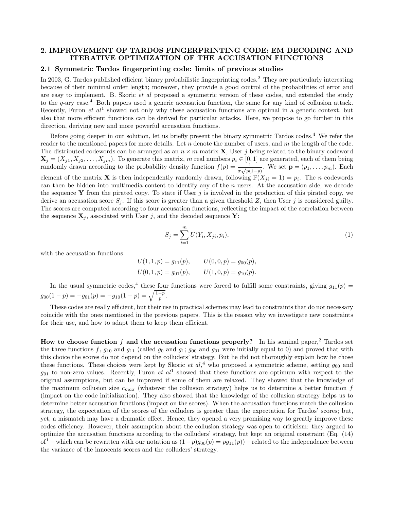#### 2. IMPROVEMENT OF TARDOS FINGERPRINTING CODE: EM DECODING AND ITERATIVE OPTIMIZATION OF THE ACCUSATION FUNCTIONS

# 2.1 Symmetric Tardos fingerprinting code: limits of previous studies

In 2003, G. Tardos published efficient binary probabilistic fingerprinting codes.<sup>2</sup> They are particularly interesting because of their minimal order length; moreover, they provide a good control of the probabilities of error and are easy to implement. B. Skoric et al proposed a symmetric version of these codes, and extended the study to the  $q$ -ary case.<sup>4</sup> Both papers used a generic accusation function, the same for any kind of collusion attack. Recently, Furon *et al*<sup>1</sup> showed not only why these accusation functions are optimal in a generic context, but also that more efficient functions can be derived for particular attacks. Here, we propose to go further in this direction, deriving new and more powerful accusation functions.

Before going deeper in our solution, let us briefly present the binary symmetric Tardos codes.<sup>4</sup> We refer the reader to the mentioned papers for more details. Let  $n$  denote the number of users, and  $m$  the length of the code. The distributed codewords can be arranged as an  $n \times m$  matrix **X**, User j being related to the binary codeword  $\mathbf{X}_j = (X_{j1}, X_{j2}, \dots, X_{jm})$ . To generate this matrix, m real numbers  $p_i \in [0, 1]$  are generated, each of them being randomly drawn according to the probability density function  $f(p) = \frac{1}{\pi\sqrt{p(1-p)}}$ . We set  $\mathbf{p} = (p_1, \ldots, p_m)$ . Each element of the matrix **X** is then independently randomly drawn, following  $\mathbb{P}(X_{ji} = 1) = p_i$ . The *n* codewords can then be hidden into multimedia content to identify any of the n users. At the accusation side, we decode the sequence Y from the pirated copy. To state if User  $j$  is involved in the production of this pirated copy, we derive an accusation score  $S_j$ . If this score is greater than a given threshold Z, then User j is considered guilty. The scores are computed according to four accusation functions, reflecting the impact of the correlation between the sequence  $\mathbf{X}_i$ , associated with User j, and the decoded sequence Y:

$$
S_j = \sum_{i=1}^{m} U(Y_i, X_{ji}, p_i),
$$
\n(1)

with the accusation functions

 $U(1, 1, p) = g_{11}(p), \qquad U(0, 0, p) = g_{00}(p),$  $U(0, 1, p) = g_{01}(p), \qquad U(1, 0, p) = g_{10}(p).$ 

In the usual symmetric codes,<sup>4</sup> these four functions were forced to fulfill some constraints, giving  $g_{11}(p)$  =  $g_{00}(1-p) = -g_{01}(p) = -g_{10}(1-p) = \sqrt{\frac{1-p}{p}}.$ 

These codes are really efficient, but their use in practical schemes may lead to constraints that do not necessary coincide with the ones mentioned in the previous papers. This is the reason why we investigate new constraints for their use, and how to adapt them to keep them efficient.

How to choose function f and the accusation functions properly? In his seminal paper,<sup>2</sup> Tardos set the three functions f,  $g_{10}$  and  $g_{11}$  (called  $g_0$  and  $g_{11}$ ;  $g_{00}$  and  $g_{01}$  were initially equal to 0) and proved that with this choice the scores do not depend on the colluders' strategy. But he did not thoroughly explain how he chose these functions. These choices were kept by Skoric *et al*,<sup>4</sup> who proposed a symmetric scheme, setting  $g_{00}$  and  $g_{01}$  to non-zero values. Recently, Furon *et al*<sup>1</sup> showed that these functions are optimum with respect to the original assumptions, but can be improved if some of them are relaxed. They showed that the knowledge of the maximum collusion size  $c_{max}$  (whatever the collusion strategy) helps us to determine a better function f (impact on the code initialization). They also showed that the knowledge of the collusion strategy helps us to determine better accusation functions (impact on the scores). When the accusation functions match the collusion strategy, the expectation of the scores of the colluders is greater than the expectation for Tardos' scores; but, yet, a mismatch may have a dramatic effect. Hence, they opened a very promising way to greatly improve these codes efficiency. However, their assumption about the collusion strategy was open to criticism: they argued to optimize the accusation functions according to the colluders' strategy, but kept an original constraint (Eq. (14) of<sup>1</sup> – which can be rewritten with our notation as  $(1-p)g_{00}(p) = pg_{11}(p)$  – related to the independence between the variance of the innocents scores and the colluders' strategy.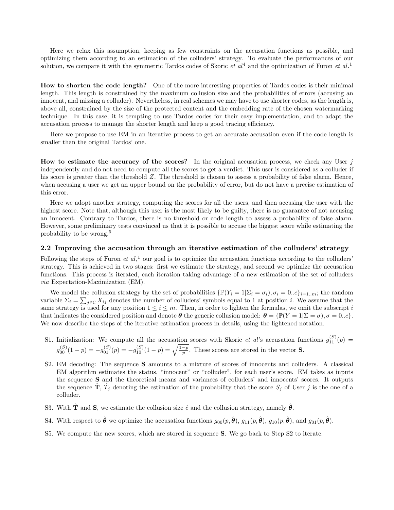Here we relax this assumption, keeping as few constraints on the accusation functions as possible, and optimizing them according to an estimation of the colluders' strategy. To evaluate the performances of our solution, we compare it with the symmetric Tardos codes of Skoric  $et\ al^4$  and the optimization of Furon  $et\ al^1$ .

How to shorten the code length? One of the more interesting properties of Tardos codes is their minimal length. This length is constrained by the maximum collusion size and the probabilities of errors (accusing an innocent, and missing a colluder). Nevertheless, in real schemes we may have to use shorter codes, as the length is, above all, constrained by the size of the protected content and the embedding rate of the chosen watermarking technique. In this case, it is tempting to use Tardos codes for their easy implementation, and to adapt the accusation process to manage the shorter length and keep a good tracing efficiency.

Here we propose to use EM in an iterative process to get an accurate accusation even if the code length is smaller than the original Tardos' one.

How to estimate the accuracy of the scores? In the original accusation process, we check any User  $j$ independently and do not need to compute all the scores to get a verdict. This user is considered as a colluder if his score is greater than the threshold Z. The threshold is chosen to assess a probability of false alarm. Hence, when accusing a user we get an upper bound on the probability of error, but do not have a precise estimation of this error.

Here we adopt another strategy, computing the scores for all the users, and then accusing the user with the highest score. Note that, although this user is the most likely to be guilty, there is no guarantee of not accusing an innocent. Contrary to Tardos, there is no threshold or code length to assess a probability of false alarm. However, some preliminary tests convinced us that it is possible to accuse the biggest score while estimating the probability to be wrong.<sup>5</sup>

#### 2.2 Improving the accusation through an iterative estimation of the colluders' strategy

Following the steps of Furon *et al*,<sup>1</sup> our goal is to optimize the accusation functions according to the colluders' strategy. This is achieved in two stages: first we estimate the strategy, and second we optimize the accusation functions. This process is iterated, each iteration taking advantage of a new estimation of the set of colluders via Expectation-Maximization (EM).

We model the collusion strategy by the set of probabilities  $\{\mathbb{P}(Y_i = 1 | \Sigma_i = \sigma_i), \sigma_i = 0..c\}_{i=1..m}$ ; the random variable  $\Sigma_i = \sum_{j \in \mathcal{C}} X_{ij}$  denotes the number of colluders' symbols equal to 1 at position i. We assume that the same strategy is used for any position  $1 \leq i \leq m$ . Then, in order to lighten the formulas, we omit the subscript i that indicates the considered position and denote  $\theta$  the generic collusion model:  $\theta = {\mathbb{P}(Y = 1|\Sigma = \sigma)}, \sigma = 0..c$ . We now describe the steps of the iterative estimation process in details, using the lightened notation.

- S1. Initialization: We compute all the accusation scores with Skoric *et al's* accusation functions  $g_{11}^{(S)}(p)$  =  $g_{00}^{(S)}(1-p) = -g_{01}^{(S)}(p) = -g_{10}^{(S)}(1-p) = \sqrt{\frac{1-p}{p}}$ . These scores are stored in the vector **S**.
- S2. EM decoding: The sequence S amounts to a mixture of scores of innocents and colluders. A classical EM algorithm estimates the status, "innocent" or "colluder", for each user's score. EM takes as inputs the sequence S and the theoretical means and variances of colluders' and innocents' scores. It outputs the sequence  $\hat{\mathbf{T}}$ ,  $\hat{T}_j$  denoting the estimation of the probability that the score  $S_j$  of User j is the one of a colluder.
- S3. With  $\hat{\mathbf{T}}$  and **S**, we estimate the collusion size  $\hat{c}$  and the collusion strategy, namely  $\hat{\boldsymbol{\theta}}$ .
- S4. With respect to  $\hat{\theta}$  we optimize the accusation functions  $g_{00}(p,\hat{\theta}), g_{11}(p,\hat{\theta}), g_{10}(p,\hat{\theta}),$  and  $g_{01}(p,\hat{\theta}).$
- S5. We compute the new scores, which are stored in sequence S. We go back to Step S2 to iterate.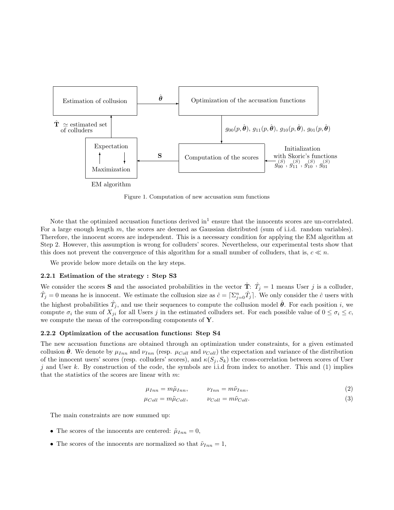

Figure 1. Computation of new accusation sum functions

Note that the optimized accusation functions derived  $\ln^1$  ensure that the innocents scores are un-correlated. For a large enough length m, the scores are deemed as Gaussian distributed (sum of i.i.d. random variables). Therefore, the innocent scores are independent. This is a necessary condition for applying the EM algorithm at Step 2. However, this assumption is wrong for colluders' scores. Nevertheless, our experimental tests show that this does not prevent the convergence of this algorithm for a small number of colluders, that is,  $c \ll n$ .

We provide below more details on the key steps.

#### 2.2.1 Estimation of the strategy : Step S3

We consider the scores S and the associated probabilities in the vector  $\hat{\mathbf{T}}$ :  $\hat{T}_j = 1$  means User j is a colluder,  $\hat{T}_j = 0$  means he is innocent. We estimate the collusion size as  $\hat{c} = \left[\sum_{j=0}^n \hat{T}_j\right]$ . We only consider the  $\hat{c}$  users with the highest probabilities  $\hat{T}_j$ , and use their sequences to compute the collusion model  $\hat{\theta}$ . For each position i, we compute  $\sigma_i$  the sum of  $X_{ji}$  for all Users j in the estimated colluders set. For each possible value of  $0 \le \sigma_i \le c$ , we compute the mean of the corresponding components of  $Y$ .

#### 2.2.2 Optimization of the accusation functions: Step S4

The new accusation functions are obtained through an optimization under constraints, for a given estimated collusion  $\theta$ . We denote by  $\mu_{Inn}$  and  $\nu_{Inn}$  (resp.  $\mu_{Coll}$  and  $\nu_{Coll}$ ) the expectation and variance of the distribution of the innocent users' scores (resp. colluders' scores), and  $\kappa(S_i, S_k)$  the cross-correlation between scores of User i and User k. By construction of the code, the symbols are i.i.d from index to another. This and (1) implies that the statistics of the scores are linear with  $m$ :

$$
\mu_{Inn} = m\tilde{\mu}_{Inn}, \qquad \nu_{Inn} = m\tilde{\nu}_{Inn}, \qquad (2)
$$

$$
\mu_{Coll} = m\tilde{\mu}_{Coll}, \qquad \nu_{Coll} = m\tilde{\nu}_{Coll}.
$$
\n(3)

The main constraints are now summed up:

- The scores of the innocents are centered:  $\tilde{\mu}_{Inn} = 0$ ,
- The scores of the innocents are normalized so that  $\tilde{\nu}_{Inn} = 1$ ,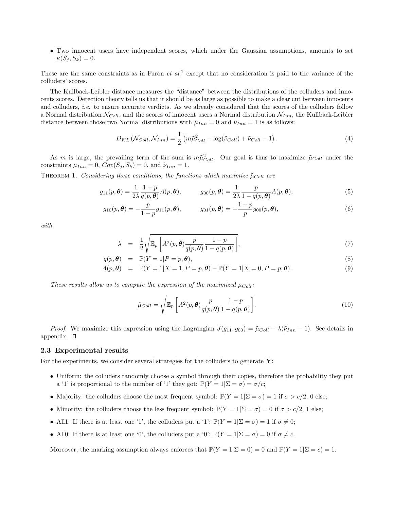• Two innocent users have independent scores, which under the Gaussian assumptions, amounts to set  $\kappa(S_i, S_k) = 0.$ 

These are the same constraints as in Furon *et al*,<sup>1</sup> except that no consideration is paid to the variance of the colluders' scores.

The Kullback-Leibler distance measures the "distance" between the distributions of the colluders and innocents scores. Detection theory tells us that it should be as large as possible to make a clear cut between innocents and colluders, *i.e.* to ensure accurate verdicts. As we already considered that the scores of the colluders follow a Normal distribution  $N_{Coll}$ , and the scores of innocent users a Normal distribution  $N_{Inn}$ , the Kullback-Leibler distance between those two Normal distributions with  $\tilde{\mu}_{Inn} = 0$  and  $\tilde{\nu}_{Inn} = 1$  is as follows:

$$
D_{KL}\left(\mathcal{N}_{Coll}, \mathcal{N}_{Inn}\right) = \frac{1}{2}\left(m\tilde{\mu}_{Coll}^2 - \log(\tilde{\nu}_{Coll}) + \tilde{\nu}_{Coll} - 1\right). \tag{4}
$$

As m is large, the prevailing term of the sum is  $m\tilde{\mu}_{Coll}^2$ . Our goal is thus to maximize  $\tilde{\mu}_{Coll}$  under the constraints  $\mu_{Inn} = 0$ ,  $Cov(S_j, S_k) = 0$ , and  $\tilde{\nu}_{Inn} = 1$ .

THEOREM 1. Considering these conditions, the functions which maximize  $\tilde{\mu}_{Coll}$  are

$$
g_{11}(p,\boldsymbol{\theta}) = \frac{1}{2\lambda} \frac{1-p}{q(p,\boldsymbol{\theta})} A(p,\boldsymbol{\theta}), \qquad g_{00}(p,\boldsymbol{\theta}) = \frac{1}{2\lambda} \frac{p}{1-q(p,\boldsymbol{\theta})} A(p,\boldsymbol{\theta}), \qquad (5)
$$

$$
g_{10}(p,\theta) = -\frac{p}{1-p}g_{11}(p,\theta), \qquad g_{01}(p,\theta) = -\frac{1-p}{p}g_{00}(p,\theta), \qquad (6)
$$

with

$$
\lambda = \frac{1}{2} \sqrt{\mathbb{E}_p \left[ A^2(p, \boldsymbol{\theta}) \frac{p}{q(p, \boldsymbol{\theta})} \frac{1-p}{1-q(p, \boldsymbol{\theta})} \right]},
$$
\n(7)

$$
q(p, \theta) = \mathbb{P}(Y = 1 | P = p, \theta), \tag{8}
$$

$$
A(p, \theta) = \mathbb{P}(Y = 1 | X = 1, P = p, \theta) - \mathbb{P}(Y = 1 | X = 0, P = p, \theta).
$$
\n(9)

These results allow us to compute the expression of the maximized  $\mu_{Coll}$ :

$$
\tilde{\mu}_{Coll} = \sqrt{\mathbb{E}_p \left[ A^2(p, \boldsymbol{\theta}) \frac{p}{q(p, \boldsymbol{\theta})} \frac{1-p}{1-q(p, \boldsymbol{\theta})} \right]}.
$$
\n(10)

*Proof.* We maximize this expression using the Lagrangian  $J(g_{11}, g_{00}) = \tilde{\mu}_{Coll} - \lambda(\tilde{\nu}_{Inn} - 1)$ . See details in appendix.  $\square$ 

#### 2.3 Experimental results

For the experiments, we consider several strategies for the colluders to generate  $\mathbf{Y}$ :

- Uniform: the colluders randomly choose a symbol through their copies, therefore the probability they put a '1' is proportional to the number of '1' they got:  $\mathbb{P}(Y = 1|\Sigma = \sigma) = \sigma/c$ ;
- Majority: the colluders choose the most frequent symbol:  $\mathbb{P}(Y = 1|\Sigma = \sigma) = 1$  if  $\sigma > c/2$ , 0 else;
- Minority: the colluders choose the less frequent symbol:  $\mathbb{P}(Y = 1|\Sigma = \sigma) = 0$  if  $\sigma > c/2$ , 1 else;
- All1: If there is at least one '1', the colluders put a '1':  $\mathbb{P}(Y=1|\Sigma=\sigma)=1$  if  $\sigma\neq 0$ ;
- All0: If there is at least one '0', the colluders put a '0':  $\mathbb{P}(Y = 1|\Sigma = \sigma) = 0$  if  $\sigma \neq c$ .

Moreover, the marking assumption always enforces that  $\mathbb{P}(Y = 1|\Sigma = 0) = 0$  and  $\mathbb{P}(Y = 1|\Sigma = c) = 1$ .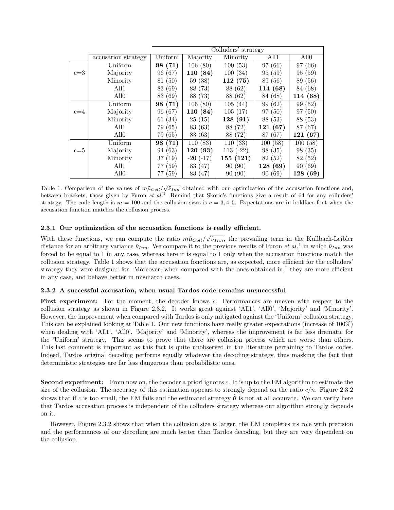|         |                     | Colluders' strategy |               |            |          |                  |
|---------|---------------------|---------------------|---------------|------------|----------|------------------|
|         | accusation strategy | Uniform             | Majority      | Minority   | All1     | All <sub>0</sub> |
|         | Uniform             | 98 (71)             | 106(80)       | 100(53)    | 97(66)   | 97 (66)          |
| $c=3$   | Majority            | 96 (67)             | 110 (84)      | 100(34)    | 95(59)   | 95(59)           |
|         | Minority            | (50)<br>81          | 59(38)        | 112(75)    | 89 (56)  | 89 (56)          |
|         | All1                | 83 (69)             | 88 (73)       | 88 (62)    | 114 (68) | 84 (68)          |
|         | A110                | (69)<br>83          | 88 (73)       | 88 (62)    | 84 (68)  | 114 (68)         |
|         | Uniform             | 98 (71)             | 106(80)       | 105(44)    | 99 (62)  | 99 (62)          |
| $c = 4$ | Majority            | 96 (67)             | 110 (84)      | 105(17)    | 97(50)   | (50)<br>97       |
|         | Minority            | (34)<br>61          | 25(15)        | 128(91)    | 88 (53)  | 88 (53)          |
|         | All1                | 79 (65)             | 83 (63)       | 88 (72)    | 121(67)  | 87 (67)          |
|         | All <sub>0</sub>    | 79 (65)             | 83 (63)       | 88 (72)    | 87 (67)  | 121(67)          |
|         | Uniform             | 98 (71)             | 110(83)       | 110(33)    | 100(58)  | 100(58)          |
| $c = 5$ | Majority            | 94 (63)             | 120(93)       | $113(-22)$ | 98(35)   | 98 (35)          |
|         | Minority            | (19)<br>37          | $-20$ $(-17)$ | 155(121)   | 82 (52)  | 82 (52)          |
|         | A111                | (59)<br>77          | 83 (47)       | 90(90)     | 128 (69) | 90(69)           |
|         | All <sub>0</sub>    | (59)<br>77          | 83 (47)       | 90(90)     | 90(69)   | 128(69)          |

Table 1. Comparison of the values of  $m\tilde{\mu}_{Coll}/\sqrt{\tilde{\nu}_{Inn}}$  obtained with our optimization of the accusation functions and, between brackets, those given by Furon et  $al$ <sup>1</sup> Remind that Skoric's functions give a result of 64 for any colluders' strategy. The code length is  $m = 100$  and the collusion sizes is  $c = 3, 4, 5$ . Expectations are in boldface font when the accusation function matches the collusion process.

#### 2.3.1 Our optimization of the accusation functions is really efficient.

With these functions, we can compute the ratio  $m\tilde{\mu}_{Coll}/\sqrt{\tilde{\nu}_{Inn}}$ , the prevailing term in the Kullbach-Leibler distance for an arbitrary variance  $\tilde{\nu}_{Inn}$ . We compare it to the previous results of Furon *et al*,<sup>1</sup> in which  $\tilde{\nu}_{Inn}$  was forced to be equal to 1 in any case, whereas here it is equal to 1 only when the accusation functions match the collusion strategy. Table 1 shows that the accusation fonctions are, as expected, more efficient for the colluders' strategy they were designed for. Moreover, when compared with the ones obtained in,<sup>1</sup> they are more efficient in any case, and behave better in mismatch cases.

#### 2.3.2 A successful accusation, when usual Tardos code remains unsuccessful

First experiment: For the moment, the decoder knows c. Performances are uneven with respect to the collusion strategy as shown in Figure 2.3.2. It works great against 'All1', 'All0', 'Majority' and 'Minority'. However, the improvement when compared with Tardos is only mitigated against the 'Uniform' collusion strategy. This can be explained looking at Table 1. Our new functions have really greater expectations (increase of 100%) when dealing with 'All1', 'All0', 'Majority' and 'Minority', whereas the improvement is far less dramatic for the 'Uniform' strategy. This seems to prove that there are collusion process which are worse than others. This last comment is important as this fact is quite unobserved in the literature pertaining to Tardos codes. Indeed, Tardos original decoding performs equally whatever the decoding strategy, thus masking the fact that deterministic strategies are far less dangerous than probabilistic ones.

Second experiment: From now on, the decoder a priori ignores c. It is up to the EM algorithm to estimate the size of the collusion. The accuracy of this estimation appears to strongly depend on the ratio  $c/n$ . Figure 2.3.2 shows that if c is too small, the EM fails and the estimated strategy  $\theta$  is not at all accurate. We can verify here that Tardos accusation process is independent of the colluders strategy whereas our algorithm strongly depends on it.

However, Figure 2.3.2 shows that when the collusion size is larger, the EM completes its role with precision and the performances of our decoding are much better than Tardos decoding, but they are very dependent on the collusion.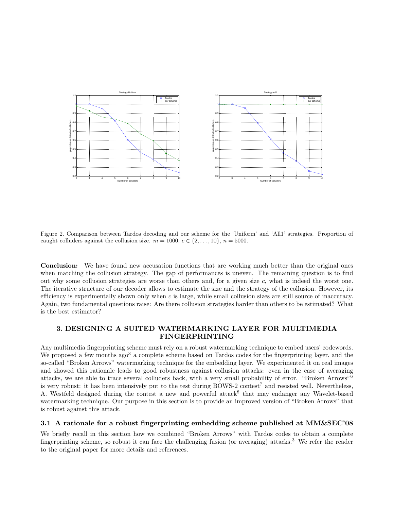

Figure 2. Comparison between Tardos decoding and our scheme for the 'Uniform' and 'All1' strategies. Proportion of caught colluders against the collusion size.  $m = 1000, c \in \{2, ..., 10\}, n = 5000$ .

Conclusion: We have found new accusation functions that are working much better than the original ones when matching the collusion strategy. The gap of performances is uneven. The remaining question is to find out why some collusion strategies are worse than others and, for a given size  $c$ , what is indeed the worst one. The iterative structure of our decoder allows to estimate the size and the strategy of the collusion. However, its efficiency is experimentally shown only when  $c$  is large, while small collusion sizes are still source of inaccuracy. Again, two fundamental questions raise: Are there collusion strategies harder than others to be estimated? What is the best estimator?

## 3. DESIGNING A SUITED WATERMARKING LAYER FOR MULTIMEDIA FINGERPRINTING

Any multimedia fingerprinting scheme must rely on a robust watermarking technique to embed users' codewords. We proposed a few months ago<sup>3</sup> a complete scheme based on Tardos codes for the fingerprinting layer, and the so-called "Broken Arrows" watermarking technique for the embedding layer. We experimented it on real images and showed this rationale leads to good robustness against collusion attacks: even in the case of averaging attacks, we are able to trace several colluders back, with a very small probability of error. "Broken Arrows"<sup>6</sup> is very robust: it has been intensively put to the test during BOWS-2 contest<sup>7</sup> and resisted well. Nevertheless, A. Westfeld designed during the contest a new and powerful attack<sup>8</sup> that may endanger any Wavelet-based watermarking technique. Our purpose in this section is to provide an improved version of "Broken Arrows" that is robust against this attack.

#### 3.1 A rationale for a robust fingerprinting embedding scheme published at MM&SEC'08

We briefly recall in this section how we combined "Broken Arrows" with Tardos codes to obtain a complete fingerprinting scheme, so robust it can face the challenging fusion (or averaging) attacks.<sup>3</sup> We refer the reader to the original paper for more details and references.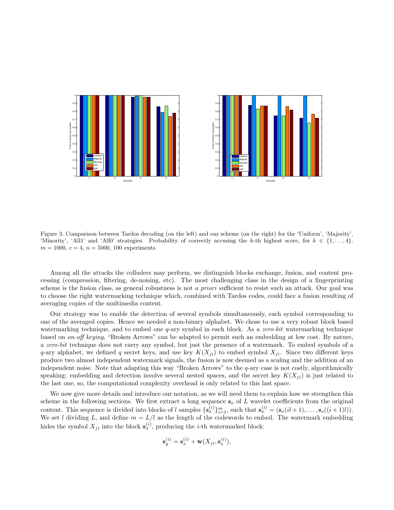

Figure 3. Comparison between Tardos decoding (on the left) and our scheme (on the right) for the 'Uniform', 'Majority', 'Minority', 'All1' and 'All0' strategies. Probability of correctly accusing the k-th highest score, for  $k \in \{1, \ldots, 4\}$ .  $m = 1000, c = 4, n = 5000, 100$  experiments.

Among all the attacks the colluders may perform, we distinguish blocks exchange, fusion, and content processing (compression, filtering, de-noising, etc). The most challenging class in the design of a fingerprinting scheme is the fusion class, as general robustness is not a priori sufficient to resist such an attack. Our goal was to choose the right watermarking technique which, combined with Tardos codes, could face a fusion resulting of averaging copies of the multimedia content.

Our strategy was to enable the detection of several symbols simultaneously, each symbol corresponding to one of the averaged copies. Hence we needed a non-binary alphabet. We chose to use a very robust block based watermarking technique, and to embed one  $q$ -ary symbol in each block. As a *zero-bit* watermarking technique based on on-off keying, "Broken Arrows" can be adapted to permit such an embedding at low cost. By nature, a zero-bit technique does not carry any symbol, but just the presence of a watermark. To embed symbols of a q-ary alphabet, we defined q secret keys, and use key  $K(X_{ji})$  to embed symbol  $X_{ji}$ . Since two different keys produce two almost independent watermark signals, the fusion is now deemed as a scaling and the addition of an independent noise. Note that adapting this way "Broken Arrows" to the q-ary case is not costly, algorithmically speaking: embedding and detection involve several nested spaces, and the secret key  $K(X_{ii})$  is just related to the last one, so, the computational complexity overhead is only related to this last space.

We now give more details and introduce our notation, as we will need them to explain how we strengthen this scheme in the following sections. We first extract a long sequence  $s<sub>o</sub>$  of L wavelet coefficients from the original content. This sequence is divided into blocks of l samples  $\{s_x^{(i)}\}_{i=1}^m$ , such that  $s_x^{(i)} = (s_o(il+1), \ldots, s_o((i+1)l)).$ We set l dividing L, and define  $m = L/l$  as the length of the codewords to embed. The watermark embedding hides the symbol  $X_{ji}$  into the block  $\mathbf{s}_x^{(i)}$ , producing the *i*-th watermarked block:

$$
\mathbf{s}_y^{(i)} = \mathbf{s}_x^{(i)} + \mathbf{w}(X_{ji}, \mathbf{s}_x^{(i)}),
$$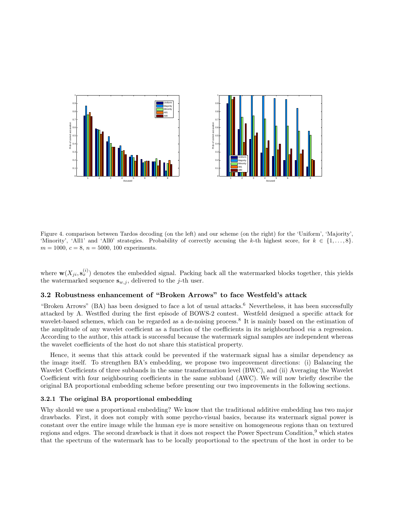

Figure 4. comparison between Tardos decoding (on the left) and our scheme (on the right) for the 'Uniform', 'Majority', 'Minority', 'All1' and 'All0' strategies. Probability of correctly accusing the k-th highest score, for  $k \in \{1, \ldots, 8\}$ .  $m = 1000, c = 8, n = 5000, 100$  experiments.

where  $\mathbf{w}(X_{ji}, \mathbf{s}_{x}^{(i)})$  denotes the embedded signal. Packing back all the watermarked blocks together, this yields the watermarked sequence  $\mathbf{s}_{w,j}$ , delivered to the *j*-th user.

## 3.2 Robustness enhancement of "Broken Arrows" to face Westfeld's attack

"Broken Arrows" (BA) has been designed to face a lot of usual attacks.<sup>6</sup> Nevertheless, it has been successfully attacked by A. Westfled during the first episode of BOWS-2 contest. Westfeld designed a specific attack for wavelet-based schemes, which can be regarded as a de-noising process.<sup>8</sup> It is mainly based on the estimation of the amplitude of any wavelet coefficient as a function of the coefficients in its neighbourhood via a regression. According to the author, this attack is successful because the watermark signal samples are independent whereas the wavelet coefficients of the host do not share this statistical property.

Hence, it seems that this attack could be prevented if the watermark signal has a similar dependency as the image itself. To strengthen BA's embedding, we propose two improvement directions: (i) Balancing the Wavelet Coefficients of three subbands in the same transformation level (BWC), and (ii) Averaging the Wavelet Coefficient with four neighbouring coefficients in the same subband (AWC). We will now briefly describe the original BA proportional embedding scheme before presenting our two improvements in the following sections.

#### 3.2.1 The original BA proportional embedding

Why should we use a proportional embedding? We know that the traditional additive embedding has two major drawbacks. First, it does not comply with some psycho-visual basics, because its watermark signal power is constant over the entire image while the human eye is more sensitive on homogeneous regions than on textured regions and edges. The second drawback is that it does not respect the Power Spectrum Condition,<sup>9</sup> which states that the spectrum of the watermark has to be locally proportional to the spectrum of the host in order to be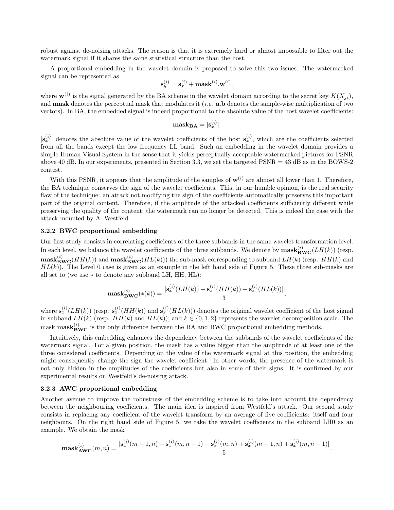robust against de-noising attacks. The reason is that it is extremely hard or almost impossible to filter out the watermark signal if it shares the same statistical structure than the host.

A proportional embedding in the wavelet domain is proposed to solve this two issues. The watermarked signal can be represented as

$$
\mathbf{s}_y^{(i)} = \mathbf{s}_x^{(i)} + \mathbf{mask}^{(i)}.\mathbf{w}^{(i)},
$$

where  $\mathbf{w}^{(i)}$  is the signal generated by the BA scheme in the wavelet domain according to the secret key  $K(X_{ji})$ , and **mask** denotes the perceptual mask that modulates it (*i.e.* a.b denotes the sample-wise multiplication of two vectors). In BA, the embedded signal is indeed proportional to the absolute value of the host wavelet coefficients:

$$
\mathbf{mask}_{\mathbf{BA}} = |\mathbf{s}_{x}^{(i)}|.
$$

 $|\mathbf{s}_x^{(i)}|$  denotes the absolute value of the wavelet coefficients of the host  $\mathbf{s}_x^{(i)}$ , which are the coefficients selected from all the bands except the low frequency LL band. Such an embedding in the wavelet domain provides a simple Human Visual System in the sense that it yields perceptually acceptable watermarked pictures for PSNR above 40 dB. In our experiments, presented in Section 3.3, we set the targeted PSNR = 43 dB as in the BOWS-2 contest.

With this PSNR, it appears that the amplitude of the samples of  $\mathbf{w}^{(i)}$  are almost all lower than 1. Therefore, the BA technique conserves the sign of the wavelet coefficients. This, in our humble opinion, is the real security flaw of the technique: an attack not modifying the sign of the coefficients automatically preserves this important part of the original content. Therefore, if the amplitude of the attacked coefficients sufficiently different while preserving the quality of the content, the watermark can no longer be detected. This is indeed the case with the attack mounted by A. Westfeld.

#### 3.2.2 BWC proportional embedding

Our first study consists in correlating coefficients of the three subbands in the same wavelet transformation level. In each level, we balance the wavelet coefficients of the three subbands. We denote by  $\text{mask}_{\text{BWC}}^{(i)}(LH(k))$  (resp.  $\mathbf{mask}_{\mathbf{BWC}}^{(i)}(HH(k))$  and  $\mathbf{mask}_{\mathbf{BWC}}^{(i)}(HL(k)))$  the sub-mask corresponding to subband  $LH(k)$  (resp.  $HH(k)$  and  $HL(k)$ ). The Level 0 case is given as an example in the left hand side of Figure 5. These three sub-masks are all set to (we use ∗ to denote any subband LH, HH, HL):

$$
\mathbf{mask}_{\mathbf{BWC}}^{(i)}(*(k)) = \frac{|\mathbf{s}_x^{(i)}(LH(k)) + \mathbf{s}_x^{(i)}(HH(k)) + \mathbf{s}_x^{(i)}(HL(k))|}{3},
$$

where  $\mathbf{s}_x^{(i)}(LH(k))$  (resp.  $\mathbf{s}_x^{(i)}(HH(k))$ ) and  $\mathbf{s}_x^{(i)}(HL(k))$ ) denotes the original wavelet coefficient of the host signal in subband  $LH(k)$  (resp.  $HH(k)$  and  $HL(k)$ ); and  $k \in \{0,1,2\}$  represents the wavelet decomposition scale. The mask  $\text{mask}_{\text{BWC}}^{(i)}$  is the only difference between the BA and BWC proportional embedding methods.

Intuitively, this embedding enhances the dependency between the subbands of the wavelet coefficients of the watermark signal. For a given position, the mask has a value bigger than the amplitude of at least one of the three considered coefficients. Depending on the value of the watermark signal at this position, the embedding might consequently change the sign the wavelet coefficient. In other words, the presence of the watermark is not only hidden in the amplitudes of the coefficients but also in some of their signs. It is confirmed by our experimental results on Westfeld's de-noising attack.

#### 3.2.3 AWC proportional embedding

Another avenue to improve the robustness of the embedding scheme is to take into account the dependency between the neighbouring coefficients. The main idea is inspired from Westfeld's attack. Our second study consists in replacing any coefficient of the wavelet transform by an average of five coefficients: itself and four neighbours. On the right hand side of Figure 5, we take the wavelet coefficients in the subband LH0 as an example. We obtain the mask

$$
\mathbf{mask}_{\mathbf{AWC}}^{(i)}(m, n) = \frac{|\mathbf{s}_x^{(i)}(m-1, n) + \mathbf{s}_x^{(i)}(m, n-1) + \mathbf{s}_x^{(i)}(m, n) + \mathbf{s}_x^{(i)}(m+1, n) + \mathbf{s}_x^{(i)}(m, n+1)|}{5}.
$$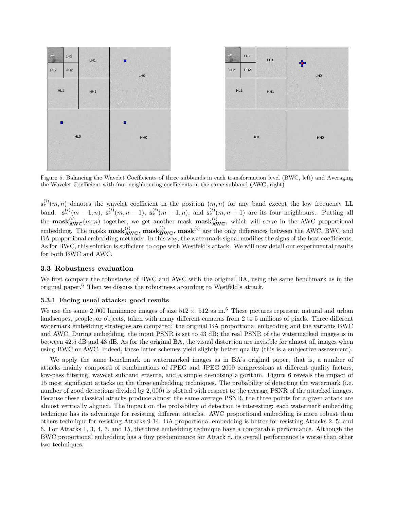

Figure 5. Balancing the Wavelet Coefficients of three subbands in each transformation level (BWC, left) and Averaging the Wavelet Coefficient with four neighbouring coefficients in the same subband (AWC, right)

 $\mathbf{s}_x^{(i)}(m,n)$  denotes the wavelet coefficient in the position  $(m,n)$  for any band except the low frequency LL band.  $\mathbf{s}_x^{(i)}(m-1,n)$ ,  $\mathbf{s}_x^{(i)}(m,n-1)$ ,  $\mathbf{s}_x^{(i)}(m+1,n)$ , and  $\mathbf{s}_x^{(i)}(m,n+1)$  are its four neighbours. Putting all the **mask**<sup>(i)</sup><sub>AWC</sub> $(m, n)$  together, we get another mask **mask**<sup>(i)</sup><sub>AWC</sub>, which will serve in the AWC proportional embedding. The masks  $\text{mask}_{\text{AWC}}^{(i)}$ ,  $\text{mask}_{\text{BWC}}^{(i)}$ ,  $\text{mask}^{(i)}$  are the only differences between the AWC, BWC and BA proportional embedding methods. In this way, the watermark signal modifies the signs of the host coefficients. As for BWC, this solution is sufficient to cope with Westfeld's attack. We will now detail our experimental results for both BWC and AWC.

#### 3.3 Robustness evaluation

We first compare the robustness of BWC and AWC with the original BA, using the same benchmark as in the original paper.<sup>6</sup> Then we discuss the robustness according to Westfeld's attack.

#### 3.3.1 Facing usual attacks: good results

We use the same 2,000 luminance images of size  $512 \times 512$  as in.<sup>6</sup> These pictures represent natural and urban landscapes, people, or objects, taken with many different cameras from 2 to 5 millions of pixels. Three different watermark embedding strategies are compared: the original BA proportional embedding and the variants BWC and AWC. During embedding, the input PSNR is set to 43 dB; the real PSNR of the watermarked images is in between 42.5 dB and 43 dB. As for the original BA, the visual distortion are invisible for almost all images when using BWC or AWC. Indeed, these latter schemes yield slightly better quality (this is a subjective assessment).

We apply the same benchmark on watermarked images as in BA's original paper, that is, a number of attacks mainly composed of combinations of JPEG and JPEG 2000 compressions at different quality factors, low-pass filtering, wavelet subband erasure, and a simple de-noising algorithm. Figure 6 reveals the impact of 15 most significant attacks on the three embedding techniques. The probability of detecting the watermark (i.e. number of good detections divided by 2,000) is plotted with respect to the average PSNR of the attacked images. Because these classical attacks produce almost the same average PSNR, the three points for a given attack are almost vertically aligned. The impact on the probability of detection is interesting: each watermark embedding technique has its advantage for resisting different attacks. AWC proportional embedding is more robust than others technique for resisting Attacks 9-14. BA proportional embedding is better for resisting Attacks 2, 5, and 6. For Attacks 1, 3, 4, 7, and 15, the three embedding technique have a comparable performance. Although the BWC proportional embedding has a tiny predominance for Attack 8, its overall performance is worse than other two techniques.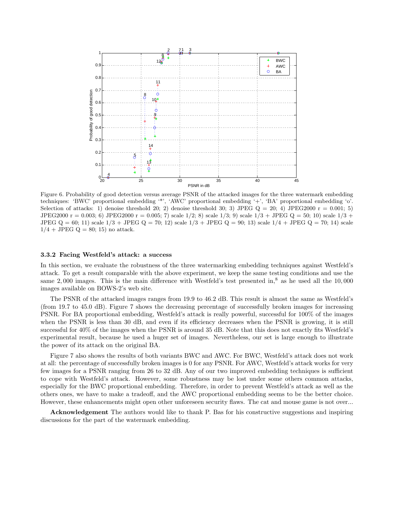

Figure 6. Probability of good detection versus average PSNR of the attacked images for the three watermark embedding techniques: 'BWC' proportional embedding '\*', 'AWC' proportional embedding '+', 'BA' proportional embedding 'o'. Selection of attacks: 1) denoise threshold 20; 2) denoise threshold 30; 3) JPEG  $Q = 20$ ; 4) JPEG2000 r = 0.001; 5) JPEG2000 r = 0.003; 6) JPEG2000 r = 0.005; 7) scale  $1/2$ ; 8) scale  $1/3$ ; 9) scale  $1/3 +$  JPEG Q = 50; 10) scale  $1/3 +$ JPEG  $Q = 60$ ; 11) scale  $1/3 + JPEG Q = 70$ ; 12) scale  $1/3 + JPEG Q = 90$ ; 13) scale  $1/4 + JPEG Q = 70$ ; 14) scale  $1/4 + JPEG Q = 80; 15$  no attack.

#### 3.3.2 Facing Westfeld's attack: a success

In this section, we evaluate the robustness of the three watermarking embedding techniques against Westfeld's attack. To get a result comparable with the above experiment, we keep the same testing conditions and use the same 2,000 images. This is the main difference with Westfeld's test presented in, $8$  as he used all the 10,000 images available on BOWS-2's web site.

The PSNR of the attacked images ranges from 19.9 to 46.2 dB. This result is almost the same as Westfeld's (from 19.7 to 45.0 dB). Figure 7 shows the decreasing percentage of successfully broken images for increasing PSNR. For BA proportional embedding, Westfeld's attack is really powerful, successful for 100% of the images when the PSNR is less than 30 dB, and even if its efficiency decreases when the PSNR is growing, it is still successful for 40% of the images when the PSNR is around 35 dB. Note that this does not exactly fits Westfeld's experimental result, because he used a huger set of images. Nevertheless, our set is large enough to illustrate the power of its attack on the original BA.

Figure 7 also shows the results of both variants BWC and AWC. For BWC, Westfeld's attack does not work at all: the percentage of successfully broken images is 0 for any PSNR. For AWC, Westfeld's attack works for very few images for a PSNR ranging from 26 to 32 dB. Any of our two improved embedding techniques is sufficient to cope with Westfeld's attack. However, some robustness may be lost under some others common attacks, especially for the BWC proportional embedding. Therefore, in order to prevent Westfeld's attack as well as the others ones, we have to make a tradeoff, and the AWC proportional embedding seems to be the better choice. However, these enhancements might open other unforeseen security flaws. The cat and mouse game is not over...

Acknowledgement The authors would like to thank P. Bas for his constructive suggestions and inspiring discussions for the part of the watermark embedding.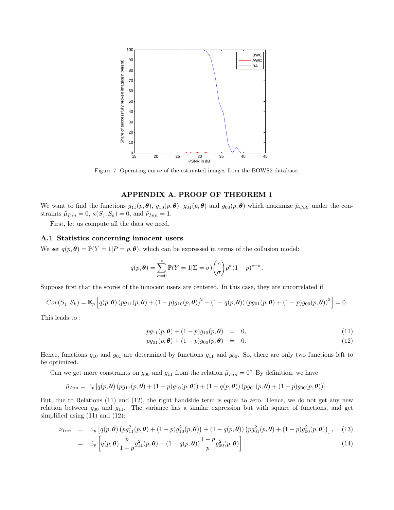

Figure 7. Operating curve of the estimated images from the BOWS2 database.

### APPENDIX A. PROOF OF THEOREM 1

We want to find the functions  $g_{11}(p, \theta)$ ,  $g_{10}(p, \theta)$ ,  $g_{01}(p, \theta)$  and  $g_{00}(p, \theta)$  which maximize  $\tilde{\mu}_{Coll}$  under the constraints  $\tilde{\mu}_{Inn} = 0$ ,  $\kappa(S_j, S_k) = 0$ , and  $\tilde{\nu}_{Inn} = 1$ .

First, let us compute all the data we need.

#### A.1 Statistics concerning innocent users

We set  $q(p, \theta) = \mathbb{P}(Y = 1 | P = p, \theta)$ , which can be expressed in terms of the collusion model:

$$
q(p,\theta) = \sum_{\sigma=0}^{c} \mathbb{P}(Y=1|\Sigma=\sigma) {c \choose \sigma} p^{\sigma} (1-p)^{c-\sigma}.
$$

Suppose first that the scores of the innocent users are centered. In this case, they are uncorrelated if

$$
Cov(S_j, S_k) = \mathbb{E}_p \left[ q(p, \theta) (pg_{11}(p, \theta) + (1-p)g_{10}(p, \theta))^2 + (1-q(p, \theta)) (pg_{01}(p, \theta) + (1-p)g_{00}(p, \theta))^2 \right] = 0.
$$

This leads to :

$$
pg_{11}(p,\theta) + (1-p)g_{10}(p,\theta) = 0, \qquad (11)
$$

$$
pg_{01}(p,\theta) + (1-p)g_{00}(p,\theta) = 0.
$$
\n(12)

Hence, functions  $g_{10}$  and  $g_{01}$  are determined by functions  $g_{11}$  and  $g_{00}$ . So, there are only two functions left to be optimized.

Can we get more constraints on  $g_{00}$  and  $g_{11}$  from the relation  $\tilde{\mu}_{Inn} = 0$ ? By definition, we have

$$
\tilde{\mu}_{Inn} = \mathbb{E}_p \left[ q(p, \boldsymbol{\theta}) \left( p g_{11}(p, \boldsymbol{\theta}) + (1-p) g_{10}(p, \boldsymbol{\theta}) \right) + (1-q(p, \boldsymbol{\theta})) \left( p g_{01}(p, \boldsymbol{\theta}) + (1-p) g_{00}(p, \boldsymbol{\theta}) \right) \right].
$$

But, due to Relations (11) and (12), the right handside term is equal to zero. Hence, we do not get any new relation between  $g_{00}$  and  $g_{11}$ . The variance has a similar expression but with square of functions, and get simplified using (11) and (12):

$$
\tilde{\nu}_{Inn} = \mathbb{E}_p \left[ q(p, \theta) \left( p g_{11}^2(p, \theta) + (1 - p) g_{10}^2(p, \theta) \right) + (1 - q(p, \theta)) \left( p g_{01}^2(p, \theta) + (1 - p) g_{00}^2(p, \theta) \right) \right], \quad (13)
$$

$$
= \mathbb{E}_p \left[ q(p, \boldsymbol{\theta}) \frac{p}{1-p} g_{11}^2(p, \boldsymbol{\theta}) + (1 - q(p, \boldsymbol{\theta})) \frac{1-p}{p} g_{00}^2(p, \boldsymbol{\theta}) \right]. \tag{14}
$$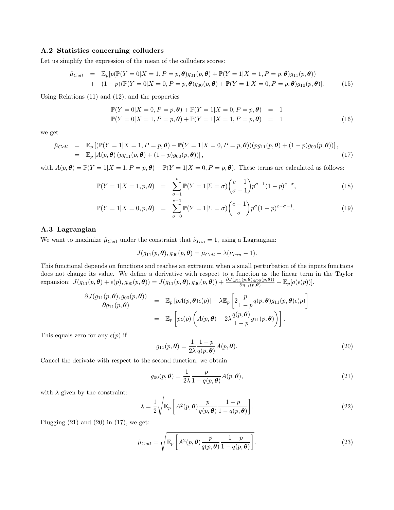#### A.2 Statistics concerning colluders

Let us simplify the expression of the mean of the colluders scores:

$$
\tilde{\mu}_{Coll} = \mathbb{E}_p[p(\mathbb{P}(Y=0|X=1, P=p, \theta)g_{01}(p, \theta) + \mathbb{P}(Y=1|X=1, P=p, \theta)g_{11}(p, \theta)) \n+ (1-p)(\mathbb{P}(Y=0|X=0, P=p, \theta)g_{00}(p, \theta) + \mathbb{P}(Y=1|X=0, P=p, \theta)g_{10}(p, \theta)].
$$
\n(15)

Using Relations (11) and (12), and the properties

$$
\mathbb{P}(Y = 0|X = 0, P = p, \theta) + \mathbb{P}(Y = 1|X = 0, P = p, \theta) = 1 \n\mathbb{P}(Y = 0|X = 1, P = p, \theta) + \mathbb{P}(Y = 1|X = 1, P = p, \theta) = 1
$$
\n(16)

we get

$$
\tilde{\mu}_{Coll} = \mathbb{E}_p \left[ (\mathbb{P}(Y=1|X=1, P=p, \theta) - \mathbb{P}(Y=1|X=0, P=p, \theta)) (pg_{11}(p, \theta) + (1-p)g_{00}(p, \theta)) \right],
$$
\n
$$
= \mathbb{E}_p \left[ A(p, \theta) \left( pg_{11}(p, \theta) + (1-p)g_{00}(p, \theta) \right) \right],
$$
\n(17)

with  $A(p, \theta) = \mathbb{P}(Y = 1 | X = 1, P = p, \theta) - \mathbb{P}(Y = 1 | X = 0, P = p, \theta)$ . These terms are calculated as follows:

$$
\mathbb{P}(Y=1|X=1,p,\theta) = \sum_{\sigma=1}^{c} \mathbb{P}(Y=1|\Sigma=\sigma) \binom{c-1}{\sigma-1} p^{\sigma-1} (1-p)^{c-\sigma},
$$
\n(18)

$$
\mathbb{P}(Y=1|X=0,p,\theta) = \sum_{\sigma=0}^{c-1} \mathbb{P}(Y=1|\Sigma=\sigma) \binom{c-1}{\sigma} p^{\sigma} (1-p)^{c-\sigma-1}.
$$
 (19)

#### A.3 Lagrangian

We want to maximize  $\tilde{\mu}_{Coll}$  under the constraint that  $\tilde{\nu}_{Inn} = 1$ , using a Lagrangian:

$$
J(g_{11}(p,\boldsymbol{\theta}),g_{00}(p,\boldsymbol{\theta})=\tilde{\mu}_{Coll}-\lambda(\tilde{\nu}_{Inn}-1).
$$

This functional depends on functions and reaches an extrenum when a small perturbation of the inputs functions does not change its value. We define a derivative with respect to a function as the linear term in the Taylor expansion:  $J(g_{11}(p, \theta) + \epsilon(p), g_{00}(p, \theta)) = J(g_{11}(p, \theta), g_{00}(p, \theta)) + \frac{\partial J(g_{11}(p, \theta), g_{00}(p, \theta))}{\partial g_{11}(p, \theta)} + \mathbb{E}_p[o(\epsilon(p))].$ 

$$
\frac{\partial J(g_{11}(p,\theta),g_{00}(p,\theta))}{\partial g_{11}(p,\theta)} = \mathbb{E}_p \left[ p A(p,\theta) \epsilon(p) \right] - \lambda \mathbb{E}_p \left[ 2 \frac{p}{1-p} q(p,\theta) g_{11}(p,\theta) \epsilon(p) \right]
$$

$$
= \mathbb{E}_p \left[ p \epsilon(p) \left( A(p,\theta) - 2\lambda \frac{q(p,\theta)}{1-p} g_{11}(p,\theta) \right) \right].
$$

This equals zero for any  $\epsilon(p)$  if

$$
g_{11}(p,\boldsymbol{\theta}) = \frac{1}{2\lambda} \frac{1-p}{q(p,\boldsymbol{\theta})} A(p,\boldsymbol{\theta}).
$$
\n(20)

Cancel the derivate with respect to the second function, we obtain

$$
g_{00}(p,\boldsymbol{\theta}) = \frac{1}{2\lambda} \frac{p}{1 - q(p,\boldsymbol{\theta})} A(p,\boldsymbol{\theta}),
$$
\n(21)

with  $\lambda$  given by the constraint:

$$
\lambda = \frac{1}{2} \sqrt{\mathbb{E}_p \left[ A^2(p, \boldsymbol{\theta}) \frac{p}{q(p, \boldsymbol{\theta})} \frac{1-p}{1-q(p, \boldsymbol{\theta})} \right]}.
$$
\n(22)

Plugging  $(21)$  and  $(20)$  in  $(17)$ , we get:

$$
\tilde{\mu}_{Coll} = \sqrt{\mathbb{E}_p \left[ A^2(p, \boldsymbol{\theta}) \frac{p}{q(p, \boldsymbol{\theta})} \frac{1-p}{1-q(p, \boldsymbol{\theta})} \right]}.
$$
\n(23)